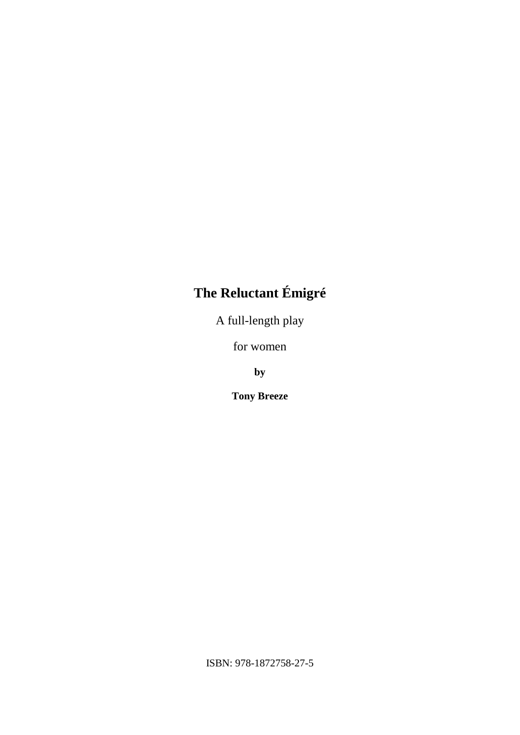# **The Reluctant Émigré**

A full-length play

for women

**by**

**Tony Breeze**

ISBN: 978-1872758-27-5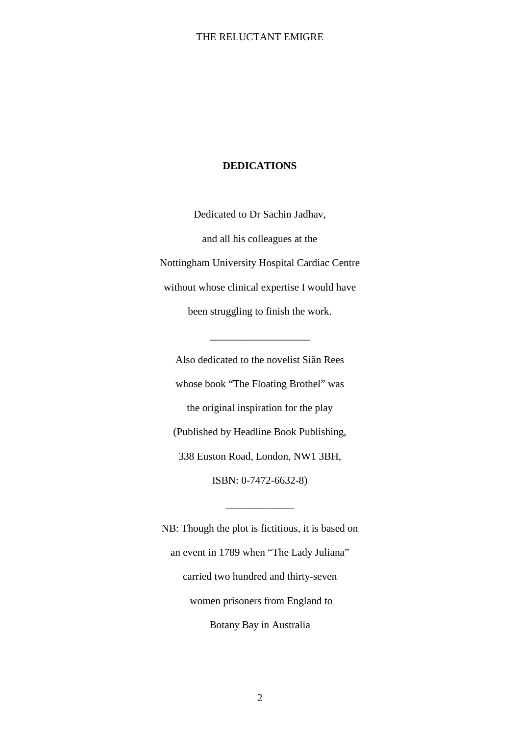#### **DEDICATIONS**

Dedicated to Dr Sachin Jadhav, and all his colleagues at the Nottingham University Hospital Cardiac Centre without whose clinical expertise I would have been struggling to finish the work.

Also dedicated to the novelist Si n Rees whose book "The Floating Brothel" was the original inspiration for the play (Published by Headline Book Publishing, 338 Euston Road, London, NW1 3BH, ISBN: 0-7472-6632-8)

\_\_\_\_\_\_\_\_\_\_\_\_\_\_\_\_\_\_\_

NB: Though the plot is fictitious, it is based on an event in 1789 when "The Lady Juliana" carried two hundred and thirty-seven women prisoners from England to Botany Bay in Australia

\_\_\_\_\_\_\_\_\_\_\_\_\_

2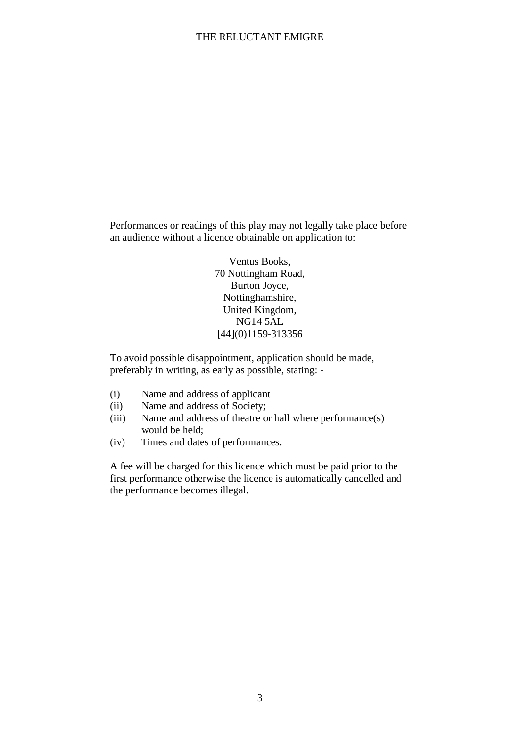Performances or readings of this play may not legally take place before an audience without a licence obtainable on application to:

> Ventus Books, 70 Nottingham Road, Burton Joyce, Nottinghamshire, United Kingdom, NG14 5AL [44](0)1159-313356

To avoid possible disappointment, application should be made, preferably in writing, as early as possible, stating: -

- (i) Name and address of applicant
- (ii) Name and address of Society;
- (iii) Name and address of theatre or hall where performance(s) would be held;
- (iv) Times and dates of performances.

A fee will be charged for this licence which must be paid prior to the first performance otherwise the licence is automatically cancelled and the performance becomes illegal.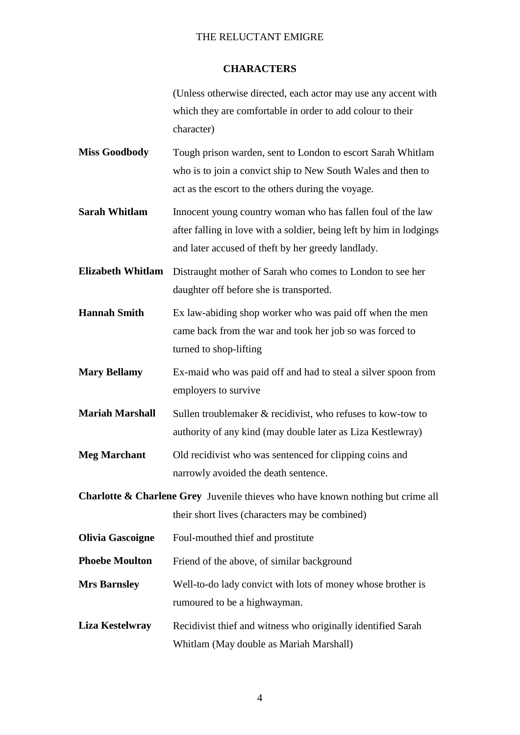#### **CHARACTERS**

(Unless otherwise directed, each actor may use any accent with which they are comfortable in order to add colour to their character)

- **Miss Goodbody** Tough prison warden, sent to London to escort Sarah Whitlam who is to join a convict ship to New South Wales and then to act as the escort to the others during the voyage.
- **Sarah Whitlam** Innocent young country woman who has fallen foul of the law after falling in love with a soldier, being left by him in lodgings and later accused of theft by her greedy landlady.
- **Elizabeth Whitlam** Distraught mother of Sarah who comes to London to see her daughter off before she is transported.
- **Hannah Smith** Ex law-abiding shop worker who was paid off when the men came back from the war and took her job so was forced to turned to shop-lifting
- **Mary Bellamy** Ex-maid who was paid off and had to steal a silver spoon from employers to survive
- **Mariah Marshall** Sullen troublemaker & recidivist, who refuses to kow-tow to authority of any kind (may double later as Liza Kestlewray)
- **Meg Marchant** Old recidivist who was sentenced for clipping coins and narrowly avoided the death sentence.
- **Charlotte & Charlene Grey** Juvenile thieves who have known nothing but crime all their short lives (characters may be combined)
- **Olivia Gascoigne** Foul-mouthed thief and prostitute
- **Phoebe Moulton** Friend of the above, of similar background
- **Mrs Barnsley** Well-to-do lady convict with lots of money whose brother is rumoured to be a highwayman.
- **Liza Kestelwray** Recidivist thief and witness who originally identified Sarah Whitlam (May double as Mariah Marshall)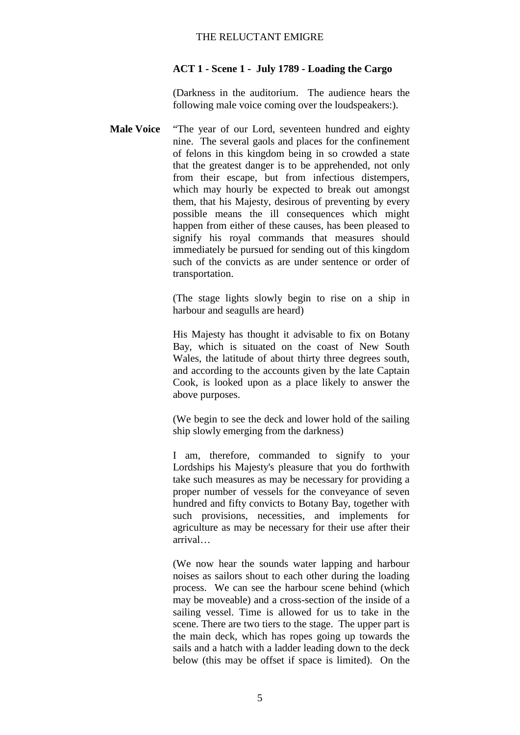#### **ACT 1 - Scene 1 - July 1789 - Loading the Cargo**

(Darkness in the auditorium. The audience hears the following male voice coming over the loudspeakers:).

**Male Voice** "The year of our Lord, seventeen hundred and eighty nine. The several gaols and places for the confinement of felons in this kingdom being in so crowded a state that the greatest danger is to be apprehended, not only from their escape, but from infectious distempers, which may hourly be expected to break out amongst them, that his Majesty, desirous of preventing by every possible means the ill consequences which might happen from either of these causes, has been pleased to signify his royal commands that measures should immediately be pursued for sending out of this kingdom such of the convicts as are under sentence or order of transportation.

> (The stage lights slowly begin to rise on a ship in harbour and seagulls are heard)

> His Majesty has thought it advisable to fix on Botany Bay, which is situated on the coast of New South Wales, the latitude of about thirty three degrees south, and according to the accounts given by the late Captain Cook, is looked upon as a place likely to answer the above purposes.

> (We begin to see the deck and lower hold of the sailing ship slowly emerging from the darkness)

> I am, therefore, commanded to signify to your Lordships his Majesty's pleasure that you do forthwith take such measures as may be necessary for providing a proper number of vessels for the conveyance of seven hundred and fifty convicts to Botany Bay, together with such provisions, necessities, and implements for agriculture as may be necessary for their use after their arrival…

> (We now hear the sounds water lapping and harbour noises as sailors shout to each other during the loading process. We can see the harbour scene behind (which may be moveable) and a cross-section of the inside of a sailing vessel. Time is allowed for us to take in the scene. There are two tiers to the stage. The upper part is the main deck, which has ropes going up towards the sails and a hatch with a ladder leading down to the deck below (this may be offset if space is limited). On the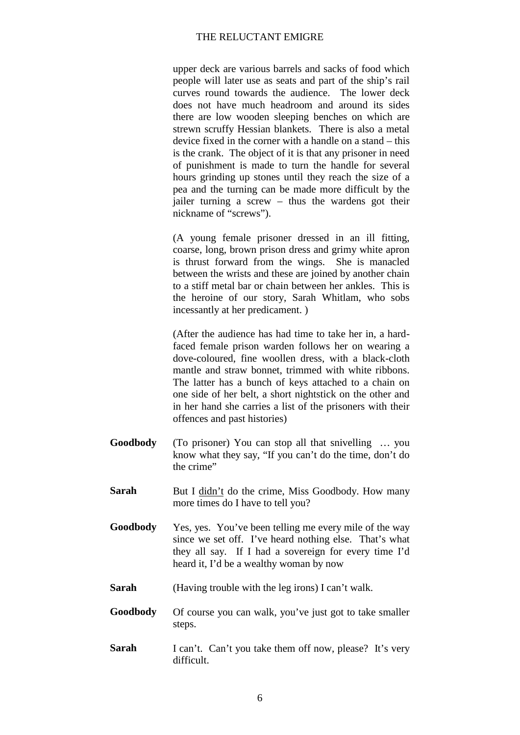upper deck are various barrels and sacks of food which people will later use as seats and part of the ship's rail curves round towards the audience. The lower deck does not have much headroom and around its sides there are low wooden sleeping benches on which are strewn scruffy Hessian blankets. There is also a metal device fixed in the corner with a handle on a stand – this is the crank. The object of it is that any prisoner in need of punishment is made to turn the handle for several hours grinding up stones until they reach the size of a pea and the turning can be made more difficult by the jailer turning a screw – thus the wardens got their nickname of "screws").

(A young female prisoner dressed in an ill fitting, coarse, long, brown prison dress and grimy white apron is thrust forward from the wings. She is manacled between the wrists and these are joined by another chain to a stiff metal bar or chain between her ankles. This is the heroine of our story, Sarah Whitlam, who sobs incessantly at her predicament. )

(After the audience has had time to take her in, a hardfaced female prison warden follows her on wearing a dove-coloured, fine woollen dress, with a black-cloth mantle and straw bonnet, trimmed with white ribbons. The latter has a bunch of keys attached to a chain on one side of her belt, a short nightstick on the other and in her hand she carries a list of the prisoners with their offences and past histories)

- **Goodbody** (To prisoner) You can stop all that snivelling … you know what they say, "If you can't do the time, don't do the crime"
- **Sarah** But I didn't do the crime, Miss Goodbody. How many more times do I have to tell you?
- **Goodbody** Yes, yes. You've been telling me every mile of the way since we set off. I've heard nothing else. That's what they all say. If I had a sovereign for every time I'd heard it, I'd be a wealthy woman by now
- **Sarah** (Having trouble with the leg irons) I can't walk.
- **Goodbody** Of course you can walk, you've just got to take smaller steps.
- **Sarah** I can't. Can't you take them off now, please? It's very difficult.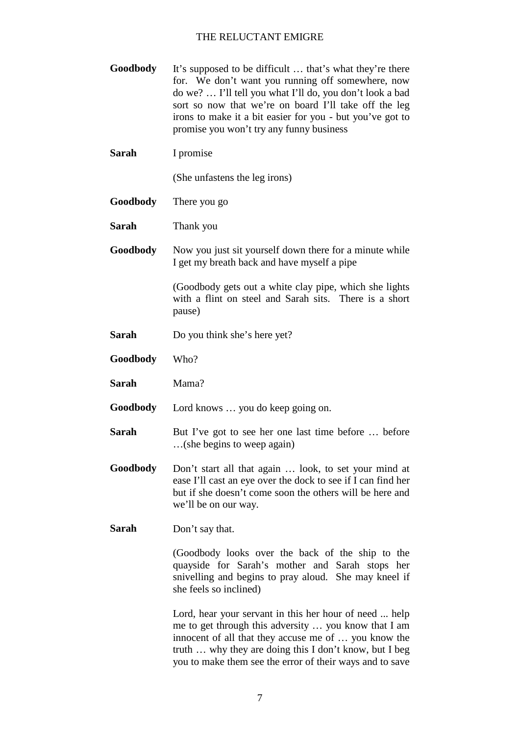**Goodbody** It's supposed to be difficult ... that's what they're there for. We don't want you running off somewhere, now do we? … I'll tell you what I'll do, you don't look a bad sort so now that we're on board I'll take off the leg irons to make it a bit easier for you - but you've got to promise you won't try any funny business **Sarah** I promise (She unfastens the leg irons) **Goodbody** There you go **Sarah** Thank you **Goodbody** Now you just sit yourself down there for a minute while I get my breath back and have myself a pipe (Goodbody gets out a white clay pipe, which she lights with a flint on steel and Sarah sits. There is a short

**Sarah** Do you think she's here yet?

pause)

- **Goodbody** Who?
- **Sarah** Mama?

**Goodbody** Lord knows … you do keep going on.

- **Sarah** But I've got to see her one last time before ... before …(she begins to weep again)
- **Goodbody** Don't start all that again … look, to set your mind at ease I'll cast an eye over the dock to see if I can find her but if she doesn't come soon the others will be here and we'll be on our way.
- **Sarah** Don't say that.

(Goodbody looks over the back of the ship to the quayside for Sarah's mother and Sarah stops her snivelling and begins to pray aloud. She may kneel if she feels so inclined)

Lord, hear your servant in this her hour of need ... help me to get through this adversity … you know that I am innocent of all that they accuse me of … you know the truth … why they are doing this I don't know, but I beg you to make them see the error of their ways and to save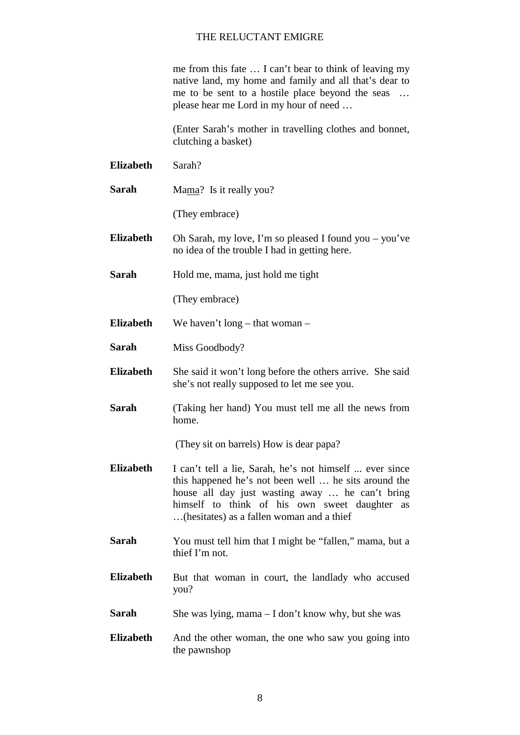me from this fate … I can't bear to think of leaving my native land, my home and family and all that's dear to me to be sent to a hostile place beyond the seas … please hear me Lord in my hour of need …

(Enter Sarah's mother in travelling clothes and bonnet, clutching a basket)

- **Elizabeth** Sarah? **Sarah** Mama? Is it really you? (They embrace) **Elizabeth** Oh Sarah, my love, I'm so pleased I found you – you've no idea of the trouble I had in getting here. **Sarah** Hold me, mama, just hold me tight (They embrace) **Elizabeth** We haven't long – that woman – **Sarah** Miss Goodbody? **Elizabeth** She said it won't long before the others arrive. She said she's not really supposed to let me see you. **Sarah** (Taking her hand) You must tell me all the news from home. (They sit on barrels) How is dear papa? **Elizabeth** I can't tell a lie, Sarah, he's not himself ... ever since this happened he's not been well … he sits around the house all day just wasting away … he can't bring himself to think of his own sweet daughter as …(hesitates) as a fallen woman and a thief **Sarah** You must tell him that I might be "fallen," mama, but a thief I'm not. **Elizabeth** But that woman in court, the landlady who accused you?
- **Sarah** She was lying, mama I don't know why, but she was
- **Elizabeth** And the other woman, the one who saw you going into the pawnshop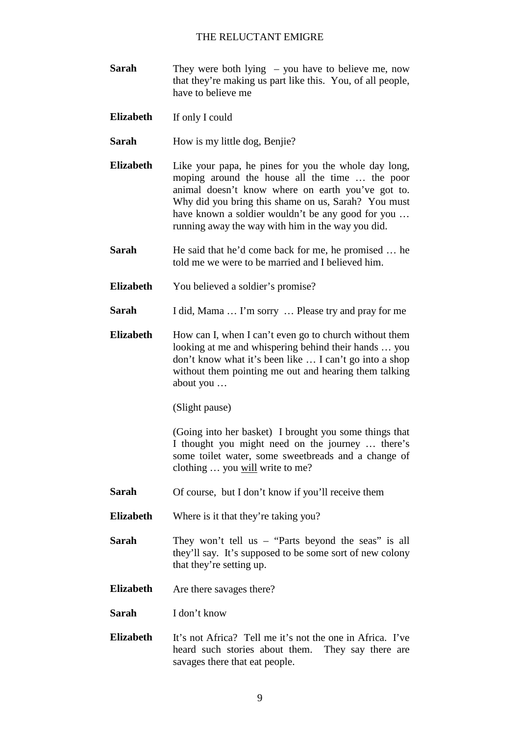- **Sarah** They were both lying you have to believe me, now that they're making us part like this. You, of all people, have to believe me
- **Elizabeth** If only I could
- **Sarah** How is my little dog, Benjie?
- **Elizabeth** Like your papa, he pines for you the whole day long, moping around the house all the time … the poor animal doesn't know where on earth you've got to. Why did you bring this shame on us, Sarah? You must have known a soldier wouldn't be any good for you … running away the way with him in the way you did.
- **Sarah** He said that he'd come back for me, he promised ... he told me we were to be married and I believed him.
- **Elizabeth** You believed a soldier's promise?
- **Sarah** I did, Mama ... I'm sorry ... Please try and pray for me
- **Elizabeth** How can I, when I can't even go to church without them looking at me and whispering behind their hands … you don't know what it's been like … I can't go into a shop without them pointing me out and hearing them talking about you …

(Slight pause)

(Going into her basket) I brought you some things that I thought you might need on the journey … there's some toilet water, some sweetbreads and a change of clothing … you will write to me?

- **Sarah** Of course, but I don't know if you'll receive them
- **Elizabeth** Where is it that they're taking you?
- **Sarah** They won't tell us "Parts beyond the seas" is all they'll say. It's supposed to be some sort of new colony that they're setting up.
- **Elizabeth** Are there savages there?
- **Sarah** I don't know
- **Elizabeth** It's not Africa? Tell me it's not the one in Africa. I've heard such stories about them. They say there are savages there that eat people.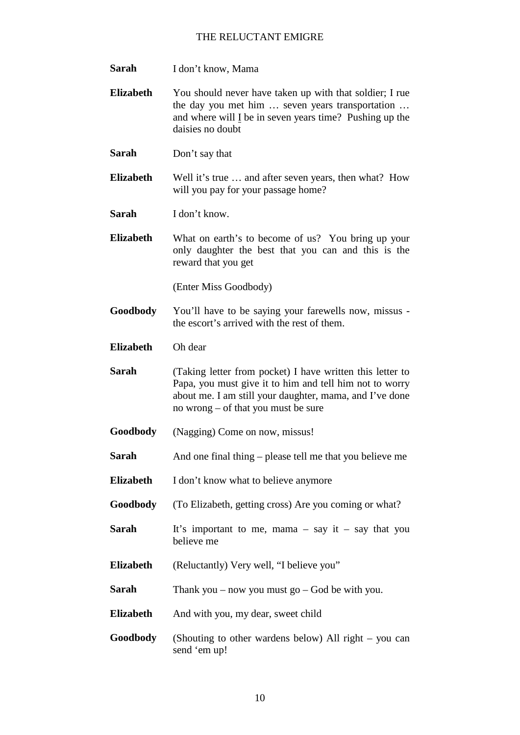- **Sarah** I don't know, Mama
- **Elizabeth** You should never have taken up with that soldier; I rue the day you met him … seven years transportation … and where will I be in seven years time? Pushing up the daisies no doubt
- **Sarah** Don't say that
- **Elizabeth** Well it's true … and after seven years, then what? How will you pay for your passage home?

**Sarah** I don't know.

**Elizabeth** What on earth's to become of us? You bring up your only daughter the best that you can and this is the reward that you get

(Enter Miss Goodbody)

**Goodbody** You'll have to be saying your farewells now, missus the escort's arrived with the rest of them.

**Elizabeth** Oh dear

- **Sarah** (Taking letter from pocket) I have written this letter to Papa, you must give it to him and tell him not to worry about me. I am still your daughter, mama, and I've done no wrong – of that you must be sure
- **Goodbody** (Nagging) Come on now, missus!
- **Sarah** And one final thing please tell me that you believe me
- **Elizabeth** I don't know what to believe anymore
- **Goodbody** (To Elizabeth, getting cross) Are you coming or what?
- **Sarah** It's important to me, mama say it say that you believe me
- **Elizabeth** (Reluctantly) Very well, "I believe you"
- **Sarah** Thank you now you must go God be with you.
- **Elizabeth** And with you, my dear, sweet child
- **Goodbody** (Shouting to other wardens below) All right you can send 'em up!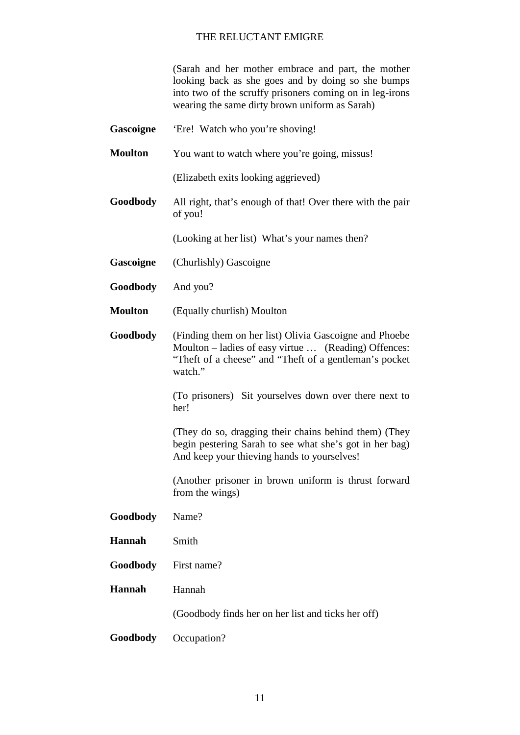(Sarah and her mother embrace and part, the mother looking back as she goes and by doing so she bumps into two of the scruffy prisoners coming on in leg-irons wearing the same dirty brown uniform as Sarah)

| Gascoigne       | 'Ere! Watch who you're shoving!                                                                                                                                                      |
|-----------------|--------------------------------------------------------------------------------------------------------------------------------------------------------------------------------------|
| <b>Moulton</b>  | You want to watch where you're going, missus!                                                                                                                                        |
|                 | (Elizabeth exits looking aggrieved)                                                                                                                                                  |
| <b>Goodbody</b> | All right, that's enough of that! Over there with the pair<br>of you!                                                                                                                |
|                 | (Looking at her list) What's your names then?                                                                                                                                        |
| Gascoigne       | (Churlishly) Gascoigne                                                                                                                                                               |
| <b>Goodbody</b> | And you?                                                                                                                                                                             |
| <b>Moulton</b>  | (Equally churlish) Moulton                                                                                                                                                           |
| <b>Goodbody</b> | (Finding them on her list) Olivia Gascoigne and Phoebe<br>Moulton – ladies of easy virtue  (Reading) Offences:<br>"Theft of a cheese" and "Theft of a gentleman's pocket"<br>watch." |
|                 | (To prisoners) Sit yourselves down over there next to<br>her!                                                                                                                        |
|                 | (They do so, dragging their chains behind them) (They<br>begin pestering Sarah to see what she's got in her bag)<br>And keep your thieving hands to yourselves!                      |
|                 | (Another prisoner in brown uniform is thrust forward<br>from the wings)                                                                                                              |
| Goodbody        | Name?                                                                                                                                                                                |
| Hannah          | Smith                                                                                                                                                                                |
| Goodbody        | First name?                                                                                                                                                                          |
| Hannah          | Hannah                                                                                                                                                                               |
|                 | (Goodbody finds her on her list and ticks her off)                                                                                                                                   |
| Goodbody        | Occupation?                                                                                                                                                                          |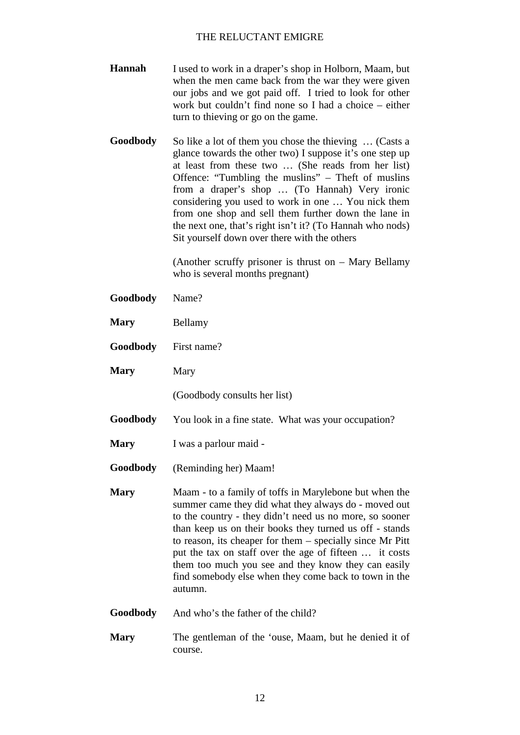- **Hannah** I used to work in a draper's shop in Holborn, Maam, but when the men came back from the war they were given our jobs and we got paid off. I tried to look for other work but couldn't find none so I had a choice – either turn to thieving or go on the game.
- **Goodbody** So like a lot of them you chose the thieving ... (Casts a glance towards the other two) I suppose it's one step up at least from these two … (She reads from her list) Offence: "Tumbling the muslins" – Theft of muslins from a draper's shop … (To Hannah) Very ironic considering you used to work in one … You nick them from one shop and sell them further down the lane in the next one, that's right isn't it? (To Hannah who nods) Sit yourself down over there with the others

(Another scruffy prisoner is thrust on – Mary Bellamy who is several months pregnant)

- **Goodbody** Name?
- **Mary** Bellamy
- **Goodbody** First name?
- **Mary** Mary

(Goodbody consults her list)

- **Goodbody** You look in a fine state. What was your occupation?
- **Mary** I was a parlour maid -
- **Goodbody** (Reminding her) Maam!
- **Mary** Maam to a family of toffs in Marylebone but when the summer came they did what they always do - moved out to the country - they didn't need us no more, so sooner than keep us on their books they turned us off - stands to reason, its cheaper for them – specially since Mr Pitt put the tax on staff over the age of fifteen … it costs them too much you see and they know they can easily find somebody else when they come back to town in the autumn.
- **Goodbody** And who's the father of the child?
- **Mary** The gentleman of the 'ouse, Maam, but he denied it of course.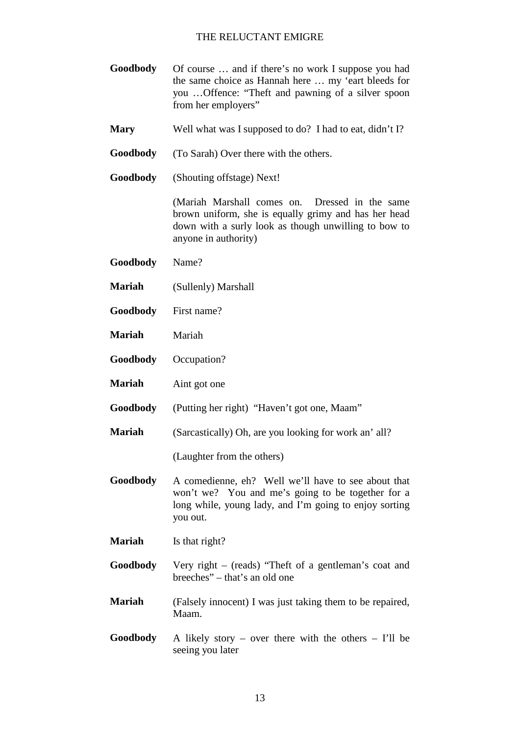- **Goodbody** Of course … and if there's no work I suppose you had the same choice as Hannah here … my 'eart bleeds for you …Offence: "Theft and pawning of a silver spoon from her employers"
- **Mary** Well what was I supposed to do? I had to eat, didn't I?
- **Goodbody** (To Sarah) Over there with the others.
- **Goodbody** (Shouting offstage) Next!

(Mariah Marshall comes on. Dressed in the same brown uniform, she is equally grimy and has her head down with a surly look as though unwilling to bow to anyone in authority)

- **Goodbody** Name?
- **Mariah** (Sullenly) Marshall
- **Goodbody** First name?
- **Mariah** Mariah
- **Goodbody** Occupation?
- **Mariah** Aint got one
- **Goodbody** (Putting her right) "Haven't got one, Maam"
- **Mariah** (Sarcastically) Oh, are you looking for work an' all?

(Laughter from the others)

- **Goodbody** A comedienne, eh? Well we'll have to see about that won't we? You and me's going to be together for a long while, young lady, and I'm going to enjoy sorting you out.
- **Mariah** Is that right?
- **Goodbody** Very right (reads) "Theft of a gentleman's coat and breeches" – that's an old one
- **Mariah** (Falsely innocent) I was just taking them to be repaired, Maam.
- **Goodbody** A likely story over there with the others I'll be seeing you later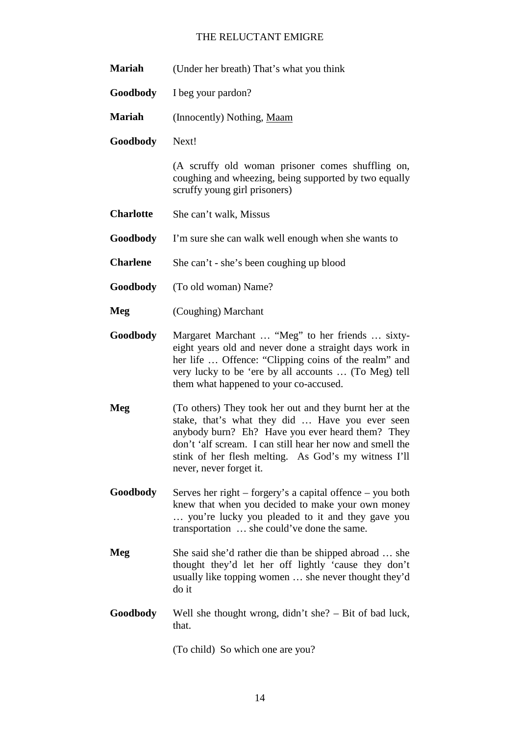| <b>Mariah</b>    | (Under her breath) That's what you think                                                                                                                                                                                                                                                                       |
|------------------|----------------------------------------------------------------------------------------------------------------------------------------------------------------------------------------------------------------------------------------------------------------------------------------------------------------|
| Goodbody         | I beg your pardon?                                                                                                                                                                                                                                                                                             |
| <b>Mariah</b>    | (Innocently) Nothing, Maam                                                                                                                                                                                                                                                                                     |
| Goodbody         | Next!                                                                                                                                                                                                                                                                                                          |
|                  | (A scruffy old woman prisoner comes shuffling on,<br>coughing and wheezing, being supported by two equally<br>scruffy young girl prisoners)                                                                                                                                                                    |
| <b>Charlotte</b> | She can't walk, Missus                                                                                                                                                                                                                                                                                         |
| Goodbody         | I'm sure she can walk well enough when she wants to                                                                                                                                                                                                                                                            |
| <b>Charlene</b>  | She can't - she's been coughing up blood                                                                                                                                                                                                                                                                       |
| Goodbody         | (To old woman) Name?                                                                                                                                                                                                                                                                                           |
| Meg              | (Coughing) Marchant                                                                                                                                                                                                                                                                                            |
| Goodbody         | Margaret Marchant  "Meg" to her friends  sixty-<br>eight years old and never done a straight days work in<br>her life  Offence: "Clipping coins of the realm" and<br>very lucky to be 'ere by all accounts  (To Meg) tell<br>them what happened to your co-accused.                                            |
| Meg              | (To others) They took her out and they burnt her at the<br>stake, that's what they did  Have you ever seen<br>anybody burn? Eh? Have you ever heard them? They<br>don't 'alf scream. I can still hear her now and smell the<br>stink of her flesh melting. As God's my witness I'll<br>never, never forget it. |
| Goodbody         | Serves her right – forgery's a capital offence – you both<br>knew that when you decided to make your own money<br>you're lucky you pleaded to it and they gave you<br>transportation  she could've done the same.                                                                                              |
| Meg              | She said she'd rather die than be shipped abroad  she<br>thought they'd let her off lightly 'cause they don't<br>usually like topping women  she never thought they'd<br>do it                                                                                                                                 |
| Goodbody         | Well she thought wrong, $\text{d} \cdot \text{d} \cdot \text{n}$ and $\text{d} \cdot \text{n}$ and $\text{d} \cdot \text{n}$ and $\text{d} \cdot \text{n}$<br>that.                                                                                                                                            |

(To child) So which one are you?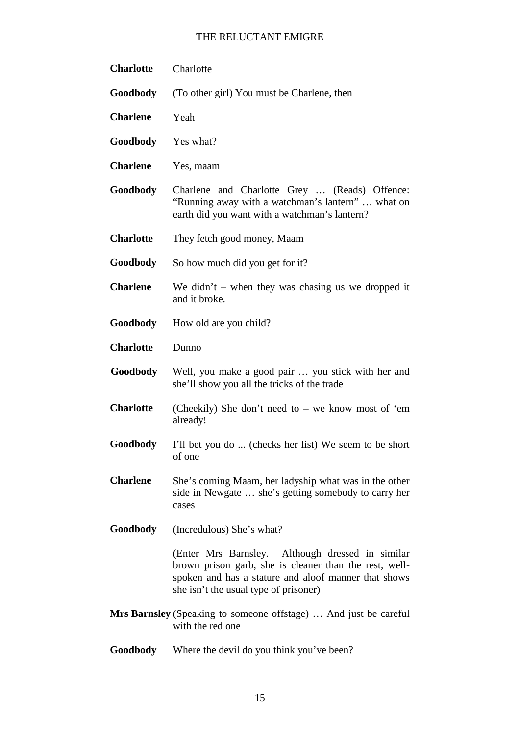| <b>Charlotte</b> | Charlotte                                                                                                                                                                                                   |
|------------------|-------------------------------------------------------------------------------------------------------------------------------------------------------------------------------------------------------------|
| Goodbody         | (To other girl) You must be Charlene, then                                                                                                                                                                  |
| <b>Charlene</b>  | Yeah                                                                                                                                                                                                        |
| Goodbody         | Yes what?                                                                                                                                                                                                   |
| <b>Charlene</b>  | Yes, maam                                                                                                                                                                                                   |
| Goodbody         | Charlene and Charlotte Grey  (Reads) Offence:<br>"Running away with a watchman's lantern"  what on<br>earth did you want with a watchman's lantern?                                                         |
| <b>Charlotte</b> | They fetch good money, Maam                                                                                                                                                                                 |
| Goodbody         | So how much did you get for it?                                                                                                                                                                             |
| <b>Charlene</b>  | We didn't – when they was chasing us we dropped it<br>and it broke.                                                                                                                                         |
| <b>Goodbody</b>  | How old are you child?                                                                                                                                                                                      |
| <b>Charlotte</b> | Dunno                                                                                                                                                                                                       |
| Goodbody         | Well, you make a good pair  you stick with her and<br>she'll show you all the tricks of the trade                                                                                                           |
| <b>Charlotte</b> | (Cheekily) She don't need to – we know most of 'em<br>already!                                                                                                                                              |
| <b>Goodbody</b>  | I'll bet you do  (checks her list) We seem to be short<br>of one                                                                                                                                            |
| <b>Charlene</b>  | She's coming Maam, her ladyship what was in the other<br>side in Newgate  she's getting somebody to carry her<br>cases                                                                                      |
| <b>Goodbody</b>  | (Incredulous) She's what?                                                                                                                                                                                   |
|                  | (Enter Mrs Barnsley. Although dressed in similar<br>brown prison garb, she is cleaner than the rest, well-<br>spoken and has a stature and aloof manner that shows<br>she isn't the usual type of prisoner) |
|                  | <b>Mrs Barnsley</b> (Speaking to someone offstage)  And just be careful<br>with the red one                                                                                                                 |
| Goodbody         | Where the devil do you think you've been?                                                                                                                                                                   |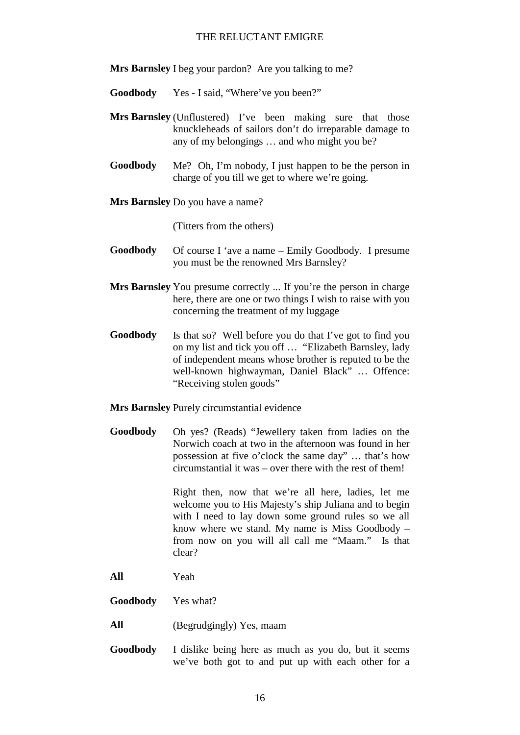**Mrs Barnsley** I beg your pardon? Are you talking to me?

- **Goodbody** Yes I said, "Where've you been?"
- **Mrs Barnsley** (Unflustered) I've been making sure that those knuckleheads of sailors don't do irreparable damage to any of my belongings … and who might you be?
- **Goodbody** Me? Oh, I'm nobody, I just happen to be the person in charge of you till we get to where we're going.
- **Mrs Barnsley** Do you have a name?

(Titters from the others)

- **Goodbody** Of course I 'ave a name Emily Goodbody. I presume you must be the renowned Mrs Barnsley?
- **Mrs Barnsley** You presume correctly ... If you're the person in charge here, there are one or two things I wish to raise with you concerning the treatment of my luggage
- **Goodbody** Is that so? Well before you do that I've got to find you on my list and tick you off … "Elizabeth Barnsley, lady of independent means whose brother is reputed to be the well-known highwayman, Daniel Black" … Offence: "Receiving stolen goods"

**Mrs Barnsley** Purely circumstantial evidence

**Goodbody** Oh yes? (Reads) "Jewellery taken from ladies on the Norwich coach at two in the afternoon was found in her possession at five o'clock the same day" … that's how circumstantial it was – over there with the rest of them!

> Right then, now that we're all here, ladies, let me welcome you to His Majesty's ship Juliana and to begin with I need to lay down some ground rules so we all know where we stand. My name is Miss Goodbody – from now on you will all call me "Maam." Is that clear?

- **All** Yeah
- **Goodbody** Yes what?
- **All** (Begrudgingly) Yes, maam
- **Goodbody** I dislike being here as much as you do, but it seems we've both got to and put up with each other for a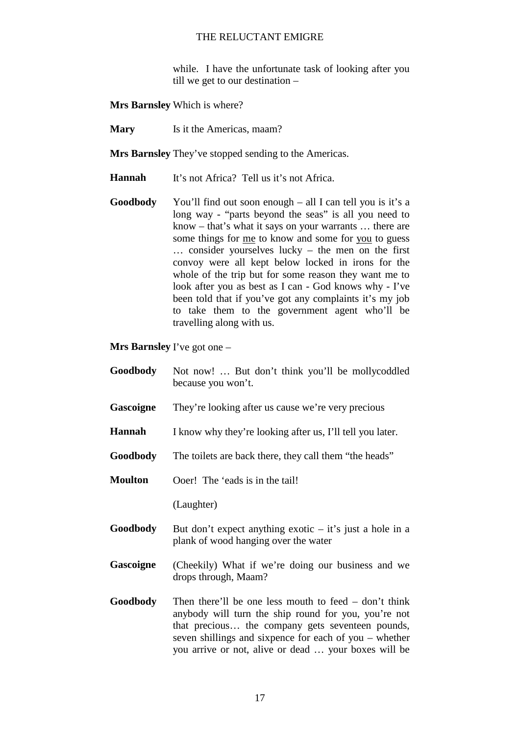while. I have the unfortunate task of looking after you till we get to our destination –

**Mrs Barnsley** Which is where?

**Mary** Is it the Americas, maam?

**Mrs Barnsley** They've stopped sending to the Americas.

**Hannah** It's not Africa? Tell us it's not Africa.

**Goodbody** You'll find out soon enough – all I can tell you is it's a long way - "parts beyond the seas" is all you need to know – that's what it says on your warrants … there are some things for me to know and some for you to guess … consider yourselves lucky – the men on the first convoy were all kept below locked in irons for the whole of the trip but for some reason they want me to look after you as best as I can - God knows why - I've been told that if you've got any complaints it's my job to take them to the government agent who'll be travelling along with us.

**Mrs Barnsley** I've got one –

- **Goodbody** Not now! … But don't think you'll be mollycoddled because you won't.
- **Gascoigne** They're looking after us cause we're very precious
- **Hannah** I know why they're looking after us, I'll tell you later.
- **Goodbody** The toilets are back there, they call them "the heads"

**Moulton** Ooer! The 'eads is in the tail!

(Laughter)

- **Goodbody** But don't expect anything exotic it's just a hole in a plank of wood hanging over the water
- Gascoigne (Cheekily) What if we're doing our business and we drops through, Maam?
- **Goodbody** Then there'll be one less mouth to feed don't think anybody will turn the ship round for you, you're not that precious… the company gets seventeen pounds, seven shillings and sixpence for each of you – whether you arrive or not, alive or dead … your boxes will be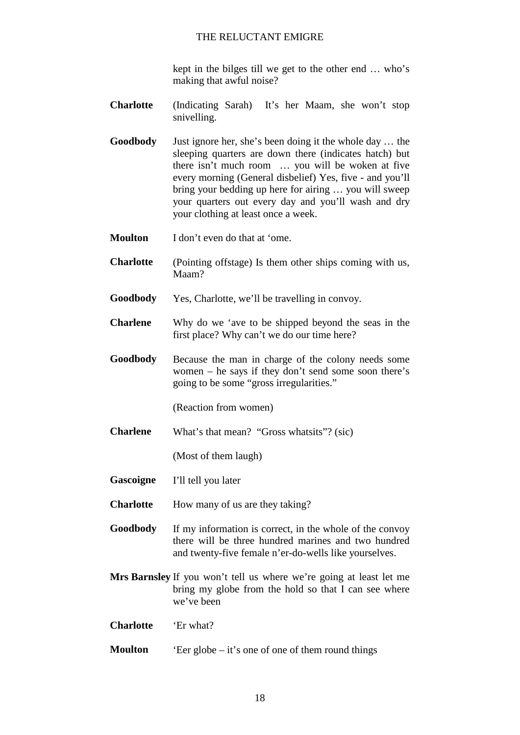kept in the bilges till we get to the other end … who's making that awful noise?

- **Charlotte** (Indicating Sarah) It's her Maam, she won't stop snivelling.
- **Goodbody** Just ignore her, she's been doing it the whole day … the sleeping quarters are down there (indicates hatch) but there isn't much room … you will be woken at five every morning (General disbelief) Yes, five - and you'll bring your bedding up here for airing … you will sweep your quarters out every day and you'll wash and dry your clothing at least once a week.
- **Moulton** I don't even do that at 'ome.
- **Charlotte** (Pointing offstage) Is them other ships coming with us, Maam?
- **Goodbody** Yes, Charlotte, we'll be travelling in convoy.
- **Charlene** Why do we 'ave to be shipped beyond the seas in the first place? Why can't we do our time here?
- **Goodbody** Because the man in charge of the colony needs some women – he says if they don't send some soon there's going to be some "gross irregularities."

(Reaction from women)

**Charlene** What's that mean? "Gross whatsits"? (sic)

(Most of them laugh)

**Gascoigne** I'll tell you later

**Charlotte** How many of us are they taking?

- **Goodbody** If my information is correct, in the whole of the convoy there will be three hundred marines and two hundred and twenty-five female n'er-do-wells like yourselves.
- **Mrs Barnsley** If you won't tell us where we're going at least let me bring my globe from the hold so that I can see where we've been

**Charlotte** 'Er what?

**Moulton** 'Eer globe – it's one of one of them round things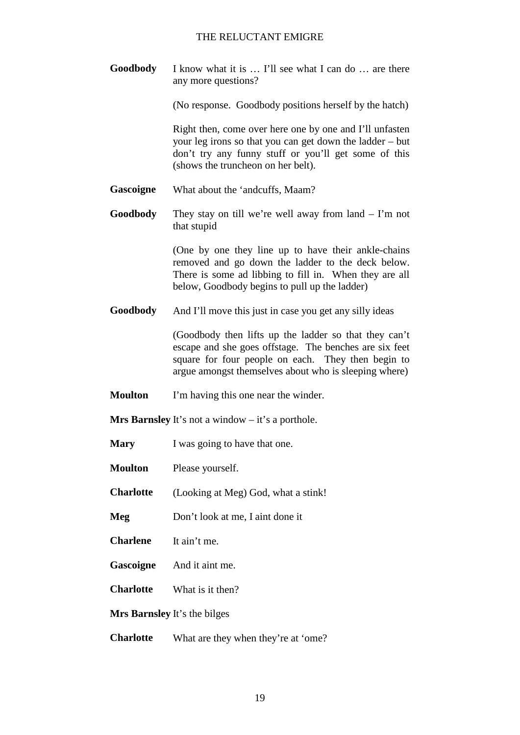**Goodbody** I know what it is … I'll see what I can do … are there any more questions?

(No response. Goodbody positions herself by the hatch)

Right then, come over here one by one and I'll unfasten your leg irons so that you can get down the ladder – but don't try any funny stuff or you'll get some of this (shows the truncheon on her belt).

- **Gascoigne** What about the 'andcuffs, Maam?
- **Goodbody** They stay on till we're well away from land I'm not that stupid

(One by one they line up to have their ankle-chains removed and go down the ladder to the deck below. There is some ad libbing to fill in. When they are all below, Goodbody begins to pull up the ladder)

**Goodbody** And I'll move this just in case you get any silly ideas

(Goodbody then lifts up the ladder so that they can't escape and she goes offstage. The benches are six feet square for four people on each. They then begin to argue amongst themselves about who is sleeping where)

**Moulton** I'm having this one near the winder.

**Mrs Barnsley** It's not a window – it's a porthole.

- **Mary** I was going to have that one.
- **Moulton** Please yourself.

**Charlotte** (Looking at Meg) God, what a stink!

**Meg** Don't look at me, I aint done it

- **Charlene** It ain't me.
- **Gascoigne** And it aint me.
- **Charlotte** What is it then?

**Mrs Barnsley** It's the bilges

**Charlotte** What are they when they're at 'ome?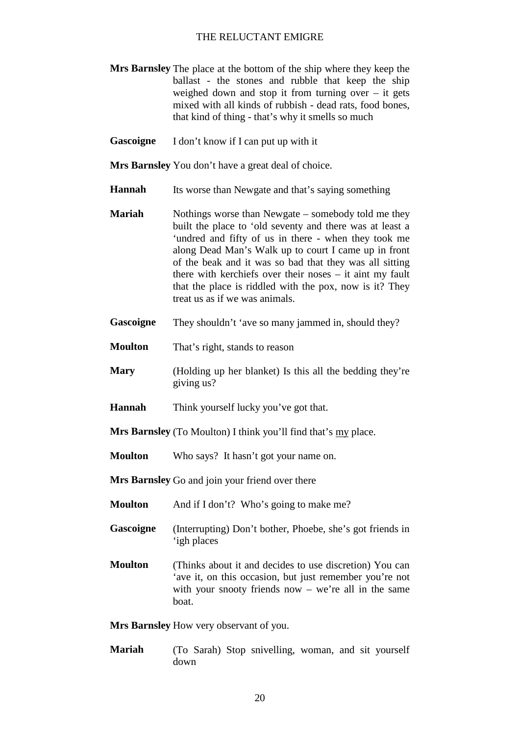- **Mrs Barnsley** The place at the bottom of the ship where they keep the ballast - the stones and rubble that keep the ship weighed down and stop it from turning over  $-$  it gets mixed with all kinds of rubbish - dead rats, food bones, that kind of thing - that's why it smells so much
- **Gascoigne** I don't know if I can put up with it

**Mrs Barnsley** You don't have a great deal of choice.

- **Hannah** Its worse than Newgate and that's saying something
- **Mariah** Nothings worse than Newgate somebody told me they built the place to 'old seventy and there was at least a 'undred and fifty of us in there - when they took me along Dead Man's Walk up to court I came up in front of the beak and it was so bad that they was all sitting there with kerchiefs over their noses – it aint my fault that the place is riddled with the pox, now is it? They treat us as if we was animals.
- **Gascoigne** They shouldn't 'ave so many jammed in, should they?
- **Moulton** That's right, stands to reason
- **Mary** (Holding up her blanket) Is this all the bedding they're giving us?
- **Hannah** Think yourself lucky you've got that.
- **Mrs Barnsley** (To Moulton) I think you'll find that's my place.
- **Moulton** Who says? It hasn't got your name on.

**Mrs Barnsley** Go and join your friend over there

- **Moulton** And if I don't? Who's going to make me?
- **Gascoigne** (Interrupting) Don't bother, Phoebe, she's got friends in 'igh places
- **Moulton** (Thinks about it and decides to use discretion) You can 'ave it, on this occasion, but just remember you're not with your snooty friends now  $-$  we're all in the same boat.

**Mrs Barnsley** How very observant of you.

**Mariah** (To Sarah) Stop snivelling, woman, and sit yourself down